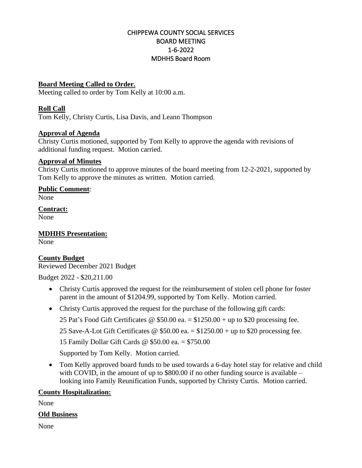# CHIPPEWA COUNTY SOCIAL SERVICES BOARD MEETING 1-6-2022 MDHHS Board Room

## **Board Meeting Called to Order.**

Meeting called to order by Tom Kelly at 10:00 a.m.

## **Roll Call**

Tom Kelly, Christy Curtis, Lisa Davis, and Leann Thompson

### **Approval of Agenda**

Christy Curtis motioned, supported by Tom Kelly to approve the agenda with revisions of additional funding request. Motion carried.

### **Approval of Minutes**

Christy Curtis motioned to approve minutes of the board meeting from 12-2-2021, supported by Tom Kelly to approve the minutes as written. Motion carried.

### **Public Comment**:

None

**Contract:**  None

**MDHHS Presentation:**

None

## **County Budget**

Reviewed December 2021 Budget

Budget 2022 - \$20,211.00

- Christy Curtis approved the request for the reimbursement of stolen cell phone for foster parent in the amount of \$1204.99, supported by Tom Kelly. Motion carried.
- Christy Curtis approved the request for the purchase of the following gift cards:
	- 25 Pat's Food Gift Certificates  $\omega$  \$50.00 ea. = \$1250.00 + up to \$20 processing fee.

25 Save-A-Lot Gift Certificates  $\omega$  \$50.00 ea. = \$1250.00 + up to \$20 processing fee.

15 Family Dollar Gift Cards @ \$50.00 ea. = \$750.00

Supported by Tom Kelly. Motion carried.

• Tom Kelly approved board funds to be used towards a 6-day hotel stay for relative and child with COVID, in the amount of up to \$800.00 if no other funding source is available – looking into Family Reunification Funds, supported by Christy Curtis. Motion carried.

## **County Hospitalization:**

None

## **Old Business**

None